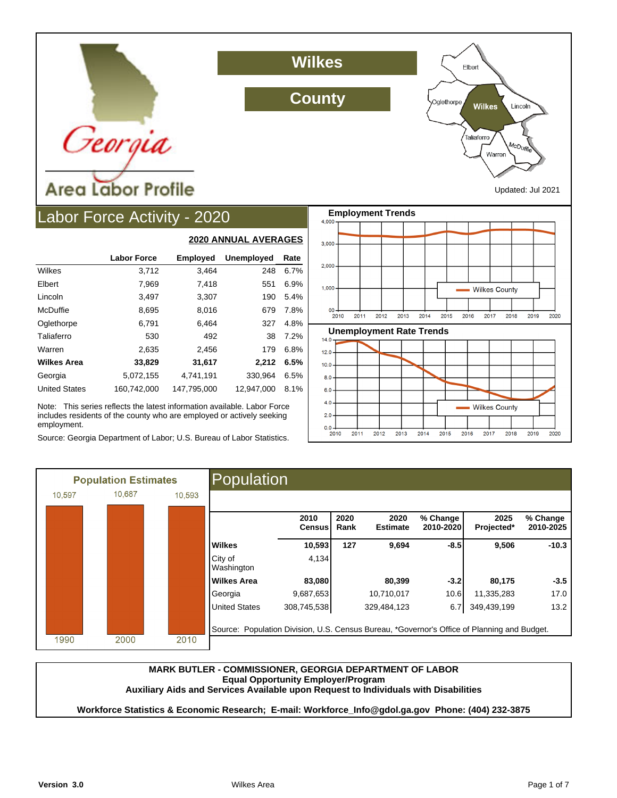

## **Wilkes**

**County**



Updated: Jul 2021

# Labor Force Activity - 2020

|                      |                    | <u>ZUZU MINIVAL AVENAUEJ</u> |                   |      |
|----------------------|--------------------|------------------------------|-------------------|------|
|                      | <b>Labor Force</b> | <b>Employed</b>              | <b>Unemployed</b> | Rate |
| Wilkes               | 3,712              | 3,464                        | 248               | 6.7% |
| Elbert               | 7,969              | 7,418                        | 551               | 6.9% |
| Lincoln              | 3,497              | 3,307                        | 190               | 5.4% |
| McDuffie             | 8,695              | 8,016                        | 679               | 7.8% |
| Oglethorpe           | 6,791              | 6.464                        | 327               | 4.8% |
| Taliaferro           | 530                | 492                          | 38                | 7.2% |
| Warren               | 2,635              | 2,456                        | 179               | 6.8% |
| <b>Wilkes Area</b>   | 33,829             | 31,617                       | 2,212             | 6.5% |
| Georgia              | 5.072.155          | 4.741.191                    | 330.964           | 6.5% |
| <b>United States</b> | 160.742.000        | 147.795.000                  | 12.947.000        | 8.1% |

**2020 ANNUAL AVERAGES**

Note: This series reflects the latest information available. Labor Force includes residents of the county who are employed or actively seeking employment.

Source: Georgia Department of Labor; U.S. Bureau of Labor Statistics.



|        | <b>Population Estimates</b> |        | Population                                                                                  |                       |              |                         |                       |                    |                       |
|--------|-----------------------------|--------|---------------------------------------------------------------------------------------------|-----------------------|--------------|-------------------------|-----------------------|--------------------|-----------------------|
| 10.597 | 10.687                      | 10,593 |                                                                                             |                       |              |                         |                       |                    |                       |
|        |                             |        |                                                                                             | 2010<br><b>Census</b> | 2020<br>Rank | 2020<br><b>Estimate</b> | % Change<br>2010-2020 | 2025<br>Projected* | % Change<br>2010-2025 |
|        |                             |        | <b>Wilkes</b>                                                                               | 10,593                | 127          | 9,694                   | $-8.5$                | 9,506              | $-10.3$               |
|        |                             |        | City of<br>Washington                                                                       | 4,134                 |              |                         |                       |                    |                       |
|        |                             |        | <b>Wilkes Area</b>                                                                          | 83,080                |              | 80,399                  | $-3.2$                | 80,175             | $-3.5$                |
|        |                             |        | Georgia                                                                                     | 9,687,653             |              | 10,710,017              | 10.6                  | 11,335,283         | 17.0                  |
|        |                             |        | <b>United States</b>                                                                        | 308,745,538           |              | 329,484,123             | 6.7                   | 349,439,199        | 13.2                  |
| 1990   | 2000                        | 2010   | Source: Population Division, U.S. Census Bureau, *Governor's Office of Planning and Budget. |                       |              |                         |                       |                    |                       |
|        |                             |        |                                                                                             |                       |              |                         |                       |                    |                       |

### **MARK BUTLER - COMMISSIONER, GEORGIA DEPARTMENT OF LABOR Equal Opportunity Employer/Program**

**Auxiliary Aids and Services Available upon Request to Individuals with Disabilities**

**Workforce Statistics & Economic Research; E-mail: Workforce\_Info@gdol.ga.gov Phone: (404) 232-3875**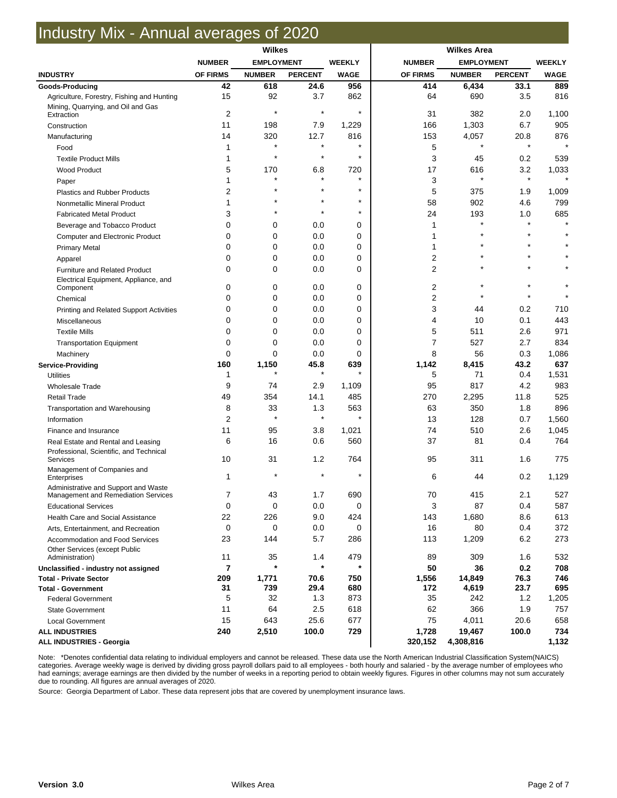## Industry Mix - Annual averages of 2020

| <b>NUMBER</b><br><b>EMPLOYMENT</b><br><b>WEEKLY</b><br><b>NUMBER</b><br><b>EMPLOYMENT</b><br><b>WEEKLY</b><br><b>PERCENT</b><br><b>PERCENT</b><br><b>INDUSTRY</b><br>OF FIRMS<br><b>NUMBER</b><br><b>WAGE</b><br>OF FIRMS<br><b>NUMBER</b><br><b>WAGE</b><br>956<br>42<br>618<br>24.6<br>414<br>6,434<br>33.1<br>889<br>Goods-Producing<br>15<br>92<br>3.7<br>862<br>64<br>690<br>3.5<br>816<br>Agriculture, Forestry, Fishing and Hunting<br>Mining, Quarrying, and Oil and Gas<br>$\star$<br>$\star$<br>$\star$<br>$\overline{2}$<br>31<br>382<br>2.0<br>1,100<br>Extraction<br>905<br>11<br>1,303<br>6.7<br>198<br>7.9<br>1,229<br>166<br>Construction<br>320<br>153<br>4,057<br>876<br>14<br>12.7<br>816<br>20.8<br>Manufacturing<br>$\star$<br>$\star$<br>$\star$<br>5<br>1<br>Food<br>$\star$<br>$\star$<br>$\star$<br>3<br>1<br>45<br>0.2<br>539<br><b>Textile Product Mills</b><br>5<br>170<br>720<br>17<br>616<br>3.2<br>1,033<br>6.8<br><b>Wood Product</b><br>$\star$<br>$\star$<br>$\star$<br>$\star$<br>3<br>1<br>Paper<br>$\star$<br>5<br>2<br>375<br>1.9<br>1,009<br><b>Plastics and Rubber Products</b><br>$\star$<br>$\star$<br>58<br>902<br>4.6<br>799<br>1<br>Nonmetallic Mineral Product<br>$\star$<br>$\star$<br>24<br>685<br>3<br>193<br>1.0<br><b>Fabricated Metal Product</b><br>$\star$<br>$\star$<br>$\star$<br>0<br>0<br>0.0<br>0<br>1<br>Beverage and Tobacco Product<br>$\star$<br>$\star$<br>$\mathbf 0$<br>0<br>0.0<br>0<br>1<br>Computer and Electronic Product<br>$\Omega$<br>0<br>0.0<br>0<br>1<br><b>Primary Metal</b><br>2<br>$\Omega$<br>0<br>0.0<br>0<br>Apparel<br>$\overline{2}$<br>$\Omega$<br>0<br>0.0<br>0<br><b>Furniture and Related Product</b><br>Electrical Equipment, Appliance, and<br>$\star$<br>0<br>0<br>2<br>0<br>0.0<br>Component<br>$\star$<br>$\star$<br>2<br>$\mathbf 0$<br>0<br>0.0<br>0<br>$\star$<br>Chemical<br>0<br>3<br>0<br>0<br>0.0<br>0.2<br>710<br>44<br>Printing and Related Support Activities<br>0<br>0<br>4<br>0.1<br>443<br>0<br>0.0<br>10<br>Miscellaneous<br>$\Omega$<br>$\Omega$<br>0.0<br>0<br>5<br>511<br>2.6<br>971<br><b>Textile Mills</b><br>$\overline{7}$<br>$\mathbf 0$<br>0<br>0.0<br>0<br>527<br>2.7<br>834<br><b>Transportation Equipment</b><br>$\mathbf 0$<br>0<br>0.0<br>0<br>8<br>56<br>0.3<br>1,086<br>Machinery<br>160<br>1,150<br>45.8<br>639<br>1,142<br>8,415<br>43.2<br>637<br><b>Service-Providing</b><br>$\star$<br>5<br>0.4<br>1,531<br><b>Utilities</b><br>1<br>71<br>4.2<br>9<br>2.9<br>1,109<br>95<br>817<br>983<br>74<br><b>Wholesale Trade</b><br>525<br>49<br>354<br>14.1<br>485<br>270<br>2,295<br>11.8<br><b>Retail Trade</b><br>8<br>33<br>563<br>63<br>350<br>896<br>1.3<br>1.8<br>Transportation and Warehousing<br>$\star$<br>$\star$<br>$\star$<br>$\overline{2}$<br>13<br>128<br>0.7<br>1,560<br>Information<br>11<br>74<br>510<br>2.6<br>1,045<br>95<br>3.8<br>1,021<br>Finance and Insurance<br>6<br>16<br>0.6<br>560<br>37<br>81<br>0.4<br>764<br>Real Estate and Rental and Leasing<br>Professional, Scientific, and Technical<br>31<br>764<br>10<br>1.2<br>95<br>311<br>1.6<br>775<br>Services<br>Management of Companies and<br>$\star$<br>6<br>0.2<br>1,129<br>1<br>44<br>Enterprises<br>Administrative and Support and Waste<br>43<br>690<br>70<br>415<br>2.1<br>527<br>1.7<br>Management and Remediation Services<br>7<br>3<br>0<br>0<br>0.0<br>0<br>87<br>0.4<br>587<br><b>Educational Services</b><br>22<br>9.0<br>143<br>8.6<br>613<br>226<br>424<br>1,680<br>Health Care and Social Assistance<br>16<br>0<br>0<br>0.0<br>80<br>0.4<br>372<br>0<br>Arts, Entertainment, and Recreation<br>23<br>5.7<br>286<br>113<br>6.2<br>273<br>144<br>1,209<br>Accommodation and Food Services<br><b>Other Services (except Public</b><br>479<br>11<br>35<br>89<br>309<br>1.6<br>532<br>1.4<br>Administration)<br>$\star$<br>$\star$<br>7<br>50<br>36<br>0.2<br>708<br>Unclassified - industry not assigned<br>209<br>1,771<br>750<br>14,849<br>76.3<br>746<br>70.6<br>1,556<br><b>Total - Private Sector</b><br>31<br>739<br>29.4<br>680<br>172<br>23.7<br>695<br>4,619<br><b>Total - Government</b><br>5<br>35<br>1.2<br>32<br>1.3<br>873<br>242<br>1,205<br><b>Federal Government</b><br>11<br>64<br>2.5<br>62<br>366<br>1.9<br>757<br>618<br><b>State Government</b><br>15<br>643<br>25.6<br>677<br>75<br>20.6<br>658<br>4,011<br><b>Local Government</b><br>2,510<br>729<br>734<br>240<br>100.0<br>1,728<br>19,467<br>100.0<br><b>ALL INDUSTRIES</b><br>320,152<br>1,132<br><b>ALL INDUSTRIES - Georgia</b><br>4,308,816 | <b>Wilkes</b> |  |  |  |  |  |  |  |
|-------------------------------------------------------------------------------------------------------------------------------------------------------------------------------------------------------------------------------------------------------------------------------------------------------------------------------------------------------------------------------------------------------------------------------------------------------------------------------------------------------------------------------------------------------------------------------------------------------------------------------------------------------------------------------------------------------------------------------------------------------------------------------------------------------------------------------------------------------------------------------------------------------------------------------------------------------------------------------------------------------------------------------------------------------------------------------------------------------------------------------------------------------------------------------------------------------------------------------------------------------------------------------------------------------------------------------------------------------------------------------------------------------------------------------------------------------------------------------------------------------------------------------------------------------------------------------------------------------------------------------------------------------------------------------------------------------------------------------------------------------------------------------------------------------------------------------------------------------------------------------------------------------------------------------------------------------------------------------------------------------------------------------------------------------------------------------------------------------------------------------------------------------------------------------------------------------------------------------------------------------------------------------------------------------------------------------------------------------------------------------------------------------------------------------------------------------------------------------------------------------------------------------------------------------------------------------------------------------------------------------------------------------------------------------------------------------------------------------------------------------------------------------------------------------------------------------------------------------------------------------------------------------------------------------------------------------------------------------------------------------------------------------------------------------------------------------------------------------------------------------------------------------------------------------------------------------------------------------------------------------------------------------------------------------------------------------------------------------------------------------------------------------------------------------------------------------------------------------------------------------------------------------------------------------------------------------------------------------------------------------------------------------------------------------------------------------------------------------------------------------------------------------------------------------------------------------------------------------------------------------------------------------------------------------------------------------------------------------------------------------------------------------------------------------------------------------------------------------------------------------------------------------------------------------------------------------------------------------------------------------------------------------------------------------------------------------------------------------------------------------------------------------------------------------------------------------------------------------------------------------------------------------------------------|---------------|--|--|--|--|--|--|--|
|                                                                                                                                                                                                                                                                                                                                                                                                                                                                                                                                                                                                                                                                                                                                                                                                                                                                                                                                                                                                                                                                                                                                                                                                                                                                                                                                                                                                                                                                                                                                                                                                                                                                                                                                                                                                                                                                                                                                                                                                                                                                                                                                                                                                                                                                                                                                                                                                                                                                                                                                                                                                                                                                                                                                                                                                                                                                                                                                                                                                                                                                                                                                                                                                                                                                                                                                                                                                                                                                                                                                                                                                                                                                                                                                                                                                                                                                                                                                                                                                                                                                                                                                                                                                                                                                                                                                                                                                                                                                                                                                                 |               |  |  |  |  |  |  |  |
|                                                                                                                                                                                                                                                                                                                                                                                                                                                                                                                                                                                                                                                                                                                                                                                                                                                                                                                                                                                                                                                                                                                                                                                                                                                                                                                                                                                                                                                                                                                                                                                                                                                                                                                                                                                                                                                                                                                                                                                                                                                                                                                                                                                                                                                                                                                                                                                                                                                                                                                                                                                                                                                                                                                                                                                                                                                                                                                                                                                                                                                                                                                                                                                                                                                                                                                                                                                                                                                                                                                                                                                                                                                                                                                                                                                                                                                                                                                                                                                                                                                                                                                                                                                                                                                                                                                                                                                                                                                                                                                                                 |               |  |  |  |  |  |  |  |
|                                                                                                                                                                                                                                                                                                                                                                                                                                                                                                                                                                                                                                                                                                                                                                                                                                                                                                                                                                                                                                                                                                                                                                                                                                                                                                                                                                                                                                                                                                                                                                                                                                                                                                                                                                                                                                                                                                                                                                                                                                                                                                                                                                                                                                                                                                                                                                                                                                                                                                                                                                                                                                                                                                                                                                                                                                                                                                                                                                                                                                                                                                                                                                                                                                                                                                                                                                                                                                                                                                                                                                                                                                                                                                                                                                                                                                                                                                                                                                                                                                                                                                                                                                                                                                                                                                                                                                                                                                                                                                                                                 |               |  |  |  |  |  |  |  |
|                                                                                                                                                                                                                                                                                                                                                                                                                                                                                                                                                                                                                                                                                                                                                                                                                                                                                                                                                                                                                                                                                                                                                                                                                                                                                                                                                                                                                                                                                                                                                                                                                                                                                                                                                                                                                                                                                                                                                                                                                                                                                                                                                                                                                                                                                                                                                                                                                                                                                                                                                                                                                                                                                                                                                                                                                                                                                                                                                                                                                                                                                                                                                                                                                                                                                                                                                                                                                                                                                                                                                                                                                                                                                                                                                                                                                                                                                                                                                                                                                                                                                                                                                                                                                                                                                                                                                                                                                                                                                                                                                 |               |  |  |  |  |  |  |  |
|                                                                                                                                                                                                                                                                                                                                                                                                                                                                                                                                                                                                                                                                                                                                                                                                                                                                                                                                                                                                                                                                                                                                                                                                                                                                                                                                                                                                                                                                                                                                                                                                                                                                                                                                                                                                                                                                                                                                                                                                                                                                                                                                                                                                                                                                                                                                                                                                                                                                                                                                                                                                                                                                                                                                                                                                                                                                                                                                                                                                                                                                                                                                                                                                                                                                                                                                                                                                                                                                                                                                                                                                                                                                                                                                                                                                                                                                                                                                                                                                                                                                                                                                                                                                                                                                                                                                                                                                                                                                                                                                                 |               |  |  |  |  |  |  |  |
|                                                                                                                                                                                                                                                                                                                                                                                                                                                                                                                                                                                                                                                                                                                                                                                                                                                                                                                                                                                                                                                                                                                                                                                                                                                                                                                                                                                                                                                                                                                                                                                                                                                                                                                                                                                                                                                                                                                                                                                                                                                                                                                                                                                                                                                                                                                                                                                                                                                                                                                                                                                                                                                                                                                                                                                                                                                                                                                                                                                                                                                                                                                                                                                                                                                                                                                                                                                                                                                                                                                                                                                                                                                                                                                                                                                                                                                                                                                                                                                                                                                                                                                                                                                                                                                                                                                                                                                                                                                                                                                                                 |               |  |  |  |  |  |  |  |
|                                                                                                                                                                                                                                                                                                                                                                                                                                                                                                                                                                                                                                                                                                                                                                                                                                                                                                                                                                                                                                                                                                                                                                                                                                                                                                                                                                                                                                                                                                                                                                                                                                                                                                                                                                                                                                                                                                                                                                                                                                                                                                                                                                                                                                                                                                                                                                                                                                                                                                                                                                                                                                                                                                                                                                                                                                                                                                                                                                                                                                                                                                                                                                                                                                                                                                                                                                                                                                                                                                                                                                                                                                                                                                                                                                                                                                                                                                                                                                                                                                                                                                                                                                                                                                                                                                                                                                                                                                                                                                                                                 |               |  |  |  |  |  |  |  |
|                                                                                                                                                                                                                                                                                                                                                                                                                                                                                                                                                                                                                                                                                                                                                                                                                                                                                                                                                                                                                                                                                                                                                                                                                                                                                                                                                                                                                                                                                                                                                                                                                                                                                                                                                                                                                                                                                                                                                                                                                                                                                                                                                                                                                                                                                                                                                                                                                                                                                                                                                                                                                                                                                                                                                                                                                                                                                                                                                                                                                                                                                                                                                                                                                                                                                                                                                                                                                                                                                                                                                                                                                                                                                                                                                                                                                                                                                                                                                                                                                                                                                                                                                                                                                                                                                                                                                                                                                                                                                                                                                 |               |  |  |  |  |  |  |  |
|                                                                                                                                                                                                                                                                                                                                                                                                                                                                                                                                                                                                                                                                                                                                                                                                                                                                                                                                                                                                                                                                                                                                                                                                                                                                                                                                                                                                                                                                                                                                                                                                                                                                                                                                                                                                                                                                                                                                                                                                                                                                                                                                                                                                                                                                                                                                                                                                                                                                                                                                                                                                                                                                                                                                                                                                                                                                                                                                                                                                                                                                                                                                                                                                                                                                                                                                                                                                                                                                                                                                                                                                                                                                                                                                                                                                                                                                                                                                                                                                                                                                                                                                                                                                                                                                                                                                                                                                                                                                                                                                                 |               |  |  |  |  |  |  |  |
|                                                                                                                                                                                                                                                                                                                                                                                                                                                                                                                                                                                                                                                                                                                                                                                                                                                                                                                                                                                                                                                                                                                                                                                                                                                                                                                                                                                                                                                                                                                                                                                                                                                                                                                                                                                                                                                                                                                                                                                                                                                                                                                                                                                                                                                                                                                                                                                                                                                                                                                                                                                                                                                                                                                                                                                                                                                                                                                                                                                                                                                                                                                                                                                                                                                                                                                                                                                                                                                                                                                                                                                                                                                                                                                                                                                                                                                                                                                                                                                                                                                                                                                                                                                                                                                                                                                                                                                                                                                                                                                                                 |               |  |  |  |  |  |  |  |
|                                                                                                                                                                                                                                                                                                                                                                                                                                                                                                                                                                                                                                                                                                                                                                                                                                                                                                                                                                                                                                                                                                                                                                                                                                                                                                                                                                                                                                                                                                                                                                                                                                                                                                                                                                                                                                                                                                                                                                                                                                                                                                                                                                                                                                                                                                                                                                                                                                                                                                                                                                                                                                                                                                                                                                                                                                                                                                                                                                                                                                                                                                                                                                                                                                                                                                                                                                                                                                                                                                                                                                                                                                                                                                                                                                                                                                                                                                                                                                                                                                                                                                                                                                                                                                                                                                                                                                                                                                                                                                                                                 |               |  |  |  |  |  |  |  |
|                                                                                                                                                                                                                                                                                                                                                                                                                                                                                                                                                                                                                                                                                                                                                                                                                                                                                                                                                                                                                                                                                                                                                                                                                                                                                                                                                                                                                                                                                                                                                                                                                                                                                                                                                                                                                                                                                                                                                                                                                                                                                                                                                                                                                                                                                                                                                                                                                                                                                                                                                                                                                                                                                                                                                                                                                                                                                                                                                                                                                                                                                                                                                                                                                                                                                                                                                                                                                                                                                                                                                                                                                                                                                                                                                                                                                                                                                                                                                                                                                                                                                                                                                                                                                                                                                                                                                                                                                                                                                                                                                 |               |  |  |  |  |  |  |  |
|                                                                                                                                                                                                                                                                                                                                                                                                                                                                                                                                                                                                                                                                                                                                                                                                                                                                                                                                                                                                                                                                                                                                                                                                                                                                                                                                                                                                                                                                                                                                                                                                                                                                                                                                                                                                                                                                                                                                                                                                                                                                                                                                                                                                                                                                                                                                                                                                                                                                                                                                                                                                                                                                                                                                                                                                                                                                                                                                                                                                                                                                                                                                                                                                                                                                                                                                                                                                                                                                                                                                                                                                                                                                                                                                                                                                                                                                                                                                                                                                                                                                                                                                                                                                                                                                                                                                                                                                                                                                                                                                                 |               |  |  |  |  |  |  |  |
|                                                                                                                                                                                                                                                                                                                                                                                                                                                                                                                                                                                                                                                                                                                                                                                                                                                                                                                                                                                                                                                                                                                                                                                                                                                                                                                                                                                                                                                                                                                                                                                                                                                                                                                                                                                                                                                                                                                                                                                                                                                                                                                                                                                                                                                                                                                                                                                                                                                                                                                                                                                                                                                                                                                                                                                                                                                                                                                                                                                                                                                                                                                                                                                                                                                                                                                                                                                                                                                                                                                                                                                                                                                                                                                                                                                                                                                                                                                                                                                                                                                                                                                                                                                                                                                                                                                                                                                                                                                                                                                                                 |               |  |  |  |  |  |  |  |
|                                                                                                                                                                                                                                                                                                                                                                                                                                                                                                                                                                                                                                                                                                                                                                                                                                                                                                                                                                                                                                                                                                                                                                                                                                                                                                                                                                                                                                                                                                                                                                                                                                                                                                                                                                                                                                                                                                                                                                                                                                                                                                                                                                                                                                                                                                                                                                                                                                                                                                                                                                                                                                                                                                                                                                                                                                                                                                                                                                                                                                                                                                                                                                                                                                                                                                                                                                                                                                                                                                                                                                                                                                                                                                                                                                                                                                                                                                                                                                                                                                                                                                                                                                                                                                                                                                                                                                                                                                                                                                                                                 |               |  |  |  |  |  |  |  |
|                                                                                                                                                                                                                                                                                                                                                                                                                                                                                                                                                                                                                                                                                                                                                                                                                                                                                                                                                                                                                                                                                                                                                                                                                                                                                                                                                                                                                                                                                                                                                                                                                                                                                                                                                                                                                                                                                                                                                                                                                                                                                                                                                                                                                                                                                                                                                                                                                                                                                                                                                                                                                                                                                                                                                                                                                                                                                                                                                                                                                                                                                                                                                                                                                                                                                                                                                                                                                                                                                                                                                                                                                                                                                                                                                                                                                                                                                                                                                                                                                                                                                                                                                                                                                                                                                                                                                                                                                                                                                                                                                 |               |  |  |  |  |  |  |  |
|                                                                                                                                                                                                                                                                                                                                                                                                                                                                                                                                                                                                                                                                                                                                                                                                                                                                                                                                                                                                                                                                                                                                                                                                                                                                                                                                                                                                                                                                                                                                                                                                                                                                                                                                                                                                                                                                                                                                                                                                                                                                                                                                                                                                                                                                                                                                                                                                                                                                                                                                                                                                                                                                                                                                                                                                                                                                                                                                                                                                                                                                                                                                                                                                                                                                                                                                                                                                                                                                                                                                                                                                                                                                                                                                                                                                                                                                                                                                                                                                                                                                                                                                                                                                                                                                                                                                                                                                                                                                                                                                                 |               |  |  |  |  |  |  |  |
|                                                                                                                                                                                                                                                                                                                                                                                                                                                                                                                                                                                                                                                                                                                                                                                                                                                                                                                                                                                                                                                                                                                                                                                                                                                                                                                                                                                                                                                                                                                                                                                                                                                                                                                                                                                                                                                                                                                                                                                                                                                                                                                                                                                                                                                                                                                                                                                                                                                                                                                                                                                                                                                                                                                                                                                                                                                                                                                                                                                                                                                                                                                                                                                                                                                                                                                                                                                                                                                                                                                                                                                                                                                                                                                                                                                                                                                                                                                                                                                                                                                                                                                                                                                                                                                                                                                                                                                                                                                                                                                                                 |               |  |  |  |  |  |  |  |
|                                                                                                                                                                                                                                                                                                                                                                                                                                                                                                                                                                                                                                                                                                                                                                                                                                                                                                                                                                                                                                                                                                                                                                                                                                                                                                                                                                                                                                                                                                                                                                                                                                                                                                                                                                                                                                                                                                                                                                                                                                                                                                                                                                                                                                                                                                                                                                                                                                                                                                                                                                                                                                                                                                                                                                                                                                                                                                                                                                                                                                                                                                                                                                                                                                                                                                                                                                                                                                                                                                                                                                                                                                                                                                                                                                                                                                                                                                                                                                                                                                                                                                                                                                                                                                                                                                                                                                                                                                                                                                                                                 |               |  |  |  |  |  |  |  |
|                                                                                                                                                                                                                                                                                                                                                                                                                                                                                                                                                                                                                                                                                                                                                                                                                                                                                                                                                                                                                                                                                                                                                                                                                                                                                                                                                                                                                                                                                                                                                                                                                                                                                                                                                                                                                                                                                                                                                                                                                                                                                                                                                                                                                                                                                                                                                                                                                                                                                                                                                                                                                                                                                                                                                                                                                                                                                                                                                                                                                                                                                                                                                                                                                                                                                                                                                                                                                                                                                                                                                                                                                                                                                                                                                                                                                                                                                                                                                                                                                                                                                                                                                                                                                                                                                                                                                                                                                                                                                                                                                 |               |  |  |  |  |  |  |  |
|                                                                                                                                                                                                                                                                                                                                                                                                                                                                                                                                                                                                                                                                                                                                                                                                                                                                                                                                                                                                                                                                                                                                                                                                                                                                                                                                                                                                                                                                                                                                                                                                                                                                                                                                                                                                                                                                                                                                                                                                                                                                                                                                                                                                                                                                                                                                                                                                                                                                                                                                                                                                                                                                                                                                                                                                                                                                                                                                                                                                                                                                                                                                                                                                                                                                                                                                                                                                                                                                                                                                                                                                                                                                                                                                                                                                                                                                                                                                                                                                                                                                                                                                                                                                                                                                                                                                                                                                                                                                                                                                                 |               |  |  |  |  |  |  |  |
|                                                                                                                                                                                                                                                                                                                                                                                                                                                                                                                                                                                                                                                                                                                                                                                                                                                                                                                                                                                                                                                                                                                                                                                                                                                                                                                                                                                                                                                                                                                                                                                                                                                                                                                                                                                                                                                                                                                                                                                                                                                                                                                                                                                                                                                                                                                                                                                                                                                                                                                                                                                                                                                                                                                                                                                                                                                                                                                                                                                                                                                                                                                                                                                                                                                                                                                                                                                                                                                                                                                                                                                                                                                                                                                                                                                                                                                                                                                                                                                                                                                                                                                                                                                                                                                                                                                                                                                                                                                                                                                                                 |               |  |  |  |  |  |  |  |
|                                                                                                                                                                                                                                                                                                                                                                                                                                                                                                                                                                                                                                                                                                                                                                                                                                                                                                                                                                                                                                                                                                                                                                                                                                                                                                                                                                                                                                                                                                                                                                                                                                                                                                                                                                                                                                                                                                                                                                                                                                                                                                                                                                                                                                                                                                                                                                                                                                                                                                                                                                                                                                                                                                                                                                                                                                                                                                                                                                                                                                                                                                                                                                                                                                                                                                                                                                                                                                                                                                                                                                                                                                                                                                                                                                                                                                                                                                                                                                                                                                                                                                                                                                                                                                                                                                                                                                                                                                                                                                                                                 |               |  |  |  |  |  |  |  |
|                                                                                                                                                                                                                                                                                                                                                                                                                                                                                                                                                                                                                                                                                                                                                                                                                                                                                                                                                                                                                                                                                                                                                                                                                                                                                                                                                                                                                                                                                                                                                                                                                                                                                                                                                                                                                                                                                                                                                                                                                                                                                                                                                                                                                                                                                                                                                                                                                                                                                                                                                                                                                                                                                                                                                                                                                                                                                                                                                                                                                                                                                                                                                                                                                                                                                                                                                                                                                                                                                                                                                                                                                                                                                                                                                                                                                                                                                                                                                                                                                                                                                                                                                                                                                                                                                                                                                                                                                                                                                                                                                 |               |  |  |  |  |  |  |  |
|                                                                                                                                                                                                                                                                                                                                                                                                                                                                                                                                                                                                                                                                                                                                                                                                                                                                                                                                                                                                                                                                                                                                                                                                                                                                                                                                                                                                                                                                                                                                                                                                                                                                                                                                                                                                                                                                                                                                                                                                                                                                                                                                                                                                                                                                                                                                                                                                                                                                                                                                                                                                                                                                                                                                                                                                                                                                                                                                                                                                                                                                                                                                                                                                                                                                                                                                                                                                                                                                                                                                                                                                                                                                                                                                                                                                                                                                                                                                                                                                                                                                                                                                                                                                                                                                                                                                                                                                                                                                                                                                                 |               |  |  |  |  |  |  |  |
|                                                                                                                                                                                                                                                                                                                                                                                                                                                                                                                                                                                                                                                                                                                                                                                                                                                                                                                                                                                                                                                                                                                                                                                                                                                                                                                                                                                                                                                                                                                                                                                                                                                                                                                                                                                                                                                                                                                                                                                                                                                                                                                                                                                                                                                                                                                                                                                                                                                                                                                                                                                                                                                                                                                                                                                                                                                                                                                                                                                                                                                                                                                                                                                                                                                                                                                                                                                                                                                                                                                                                                                                                                                                                                                                                                                                                                                                                                                                                                                                                                                                                                                                                                                                                                                                                                                                                                                                                                                                                                                                                 |               |  |  |  |  |  |  |  |
|                                                                                                                                                                                                                                                                                                                                                                                                                                                                                                                                                                                                                                                                                                                                                                                                                                                                                                                                                                                                                                                                                                                                                                                                                                                                                                                                                                                                                                                                                                                                                                                                                                                                                                                                                                                                                                                                                                                                                                                                                                                                                                                                                                                                                                                                                                                                                                                                                                                                                                                                                                                                                                                                                                                                                                                                                                                                                                                                                                                                                                                                                                                                                                                                                                                                                                                                                                                                                                                                                                                                                                                                                                                                                                                                                                                                                                                                                                                                                                                                                                                                                                                                                                                                                                                                                                                                                                                                                                                                                                                                                 |               |  |  |  |  |  |  |  |
|                                                                                                                                                                                                                                                                                                                                                                                                                                                                                                                                                                                                                                                                                                                                                                                                                                                                                                                                                                                                                                                                                                                                                                                                                                                                                                                                                                                                                                                                                                                                                                                                                                                                                                                                                                                                                                                                                                                                                                                                                                                                                                                                                                                                                                                                                                                                                                                                                                                                                                                                                                                                                                                                                                                                                                                                                                                                                                                                                                                                                                                                                                                                                                                                                                                                                                                                                                                                                                                                                                                                                                                                                                                                                                                                                                                                                                                                                                                                                                                                                                                                                                                                                                                                                                                                                                                                                                                                                                                                                                                                                 |               |  |  |  |  |  |  |  |
|                                                                                                                                                                                                                                                                                                                                                                                                                                                                                                                                                                                                                                                                                                                                                                                                                                                                                                                                                                                                                                                                                                                                                                                                                                                                                                                                                                                                                                                                                                                                                                                                                                                                                                                                                                                                                                                                                                                                                                                                                                                                                                                                                                                                                                                                                                                                                                                                                                                                                                                                                                                                                                                                                                                                                                                                                                                                                                                                                                                                                                                                                                                                                                                                                                                                                                                                                                                                                                                                                                                                                                                                                                                                                                                                                                                                                                                                                                                                                                                                                                                                                                                                                                                                                                                                                                                                                                                                                                                                                                                                                 |               |  |  |  |  |  |  |  |
|                                                                                                                                                                                                                                                                                                                                                                                                                                                                                                                                                                                                                                                                                                                                                                                                                                                                                                                                                                                                                                                                                                                                                                                                                                                                                                                                                                                                                                                                                                                                                                                                                                                                                                                                                                                                                                                                                                                                                                                                                                                                                                                                                                                                                                                                                                                                                                                                                                                                                                                                                                                                                                                                                                                                                                                                                                                                                                                                                                                                                                                                                                                                                                                                                                                                                                                                                                                                                                                                                                                                                                                                                                                                                                                                                                                                                                                                                                                                                                                                                                                                                                                                                                                                                                                                                                                                                                                                                                                                                                                                                 |               |  |  |  |  |  |  |  |
|                                                                                                                                                                                                                                                                                                                                                                                                                                                                                                                                                                                                                                                                                                                                                                                                                                                                                                                                                                                                                                                                                                                                                                                                                                                                                                                                                                                                                                                                                                                                                                                                                                                                                                                                                                                                                                                                                                                                                                                                                                                                                                                                                                                                                                                                                                                                                                                                                                                                                                                                                                                                                                                                                                                                                                                                                                                                                                                                                                                                                                                                                                                                                                                                                                                                                                                                                                                                                                                                                                                                                                                                                                                                                                                                                                                                                                                                                                                                                                                                                                                                                                                                                                                                                                                                                                                                                                                                                                                                                                                                                 |               |  |  |  |  |  |  |  |
|                                                                                                                                                                                                                                                                                                                                                                                                                                                                                                                                                                                                                                                                                                                                                                                                                                                                                                                                                                                                                                                                                                                                                                                                                                                                                                                                                                                                                                                                                                                                                                                                                                                                                                                                                                                                                                                                                                                                                                                                                                                                                                                                                                                                                                                                                                                                                                                                                                                                                                                                                                                                                                                                                                                                                                                                                                                                                                                                                                                                                                                                                                                                                                                                                                                                                                                                                                                                                                                                                                                                                                                                                                                                                                                                                                                                                                                                                                                                                                                                                                                                                                                                                                                                                                                                                                                                                                                                                                                                                                                                                 |               |  |  |  |  |  |  |  |
|                                                                                                                                                                                                                                                                                                                                                                                                                                                                                                                                                                                                                                                                                                                                                                                                                                                                                                                                                                                                                                                                                                                                                                                                                                                                                                                                                                                                                                                                                                                                                                                                                                                                                                                                                                                                                                                                                                                                                                                                                                                                                                                                                                                                                                                                                                                                                                                                                                                                                                                                                                                                                                                                                                                                                                                                                                                                                                                                                                                                                                                                                                                                                                                                                                                                                                                                                                                                                                                                                                                                                                                                                                                                                                                                                                                                                                                                                                                                                                                                                                                                                                                                                                                                                                                                                                                                                                                                                                                                                                                                                 |               |  |  |  |  |  |  |  |
|                                                                                                                                                                                                                                                                                                                                                                                                                                                                                                                                                                                                                                                                                                                                                                                                                                                                                                                                                                                                                                                                                                                                                                                                                                                                                                                                                                                                                                                                                                                                                                                                                                                                                                                                                                                                                                                                                                                                                                                                                                                                                                                                                                                                                                                                                                                                                                                                                                                                                                                                                                                                                                                                                                                                                                                                                                                                                                                                                                                                                                                                                                                                                                                                                                                                                                                                                                                                                                                                                                                                                                                                                                                                                                                                                                                                                                                                                                                                                                                                                                                                                                                                                                                                                                                                                                                                                                                                                                                                                                                                                 |               |  |  |  |  |  |  |  |
|                                                                                                                                                                                                                                                                                                                                                                                                                                                                                                                                                                                                                                                                                                                                                                                                                                                                                                                                                                                                                                                                                                                                                                                                                                                                                                                                                                                                                                                                                                                                                                                                                                                                                                                                                                                                                                                                                                                                                                                                                                                                                                                                                                                                                                                                                                                                                                                                                                                                                                                                                                                                                                                                                                                                                                                                                                                                                                                                                                                                                                                                                                                                                                                                                                                                                                                                                                                                                                                                                                                                                                                                                                                                                                                                                                                                                                                                                                                                                                                                                                                                                                                                                                                                                                                                                                                                                                                                                                                                                                                                                 |               |  |  |  |  |  |  |  |
|                                                                                                                                                                                                                                                                                                                                                                                                                                                                                                                                                                                                                                                                                                                                                                                                                                                                                                                                                                                                                                                                                                                                                                                                                                                                                                                                                                                                                                                                                                                                                                                                                                                                                                                                                                                                                                                                                                                                                                                                                                                                                                                                                                                                                                                                                                                                                                                                                                                                                                                                                                                                                                                                                                                                                                                                                                                                                                                                                                                                                                                                                                                                                                                                                                                                                                                                                                                                                                                                                                                                                                                                                                                                                                                                                                                                                                                                                                                                                                                                                                                                                                                                                                                                                                                                                                                                                                                                                                                                                                                                                 |               |  |  |  |  |  |  |  |
|                                                                                                                                                                                                                                                                                                                                                                                                                                                                                                                                                                                                                                                                                                                                                                                                                                                                                                                                                                                                                                                                                                                                                                                                                                                                                                                                                                                                                                                                                                                                                                                                                                                                                                                                                                                                                                                                                                                                                                                                                                                                                                                                                                                                                                                                                                                                                                                                                                                                                                                                                                                                                                                                                                                                                                                                                                                                                                                                                                                                                                                                                                                                                                                                                                                                                                                                                                                                                                                                                                                                                                                                                                                                                                                                                                                                                                                                                                                                                                                                                                                                                                                                                                                                                                                                                                                                                                                                                                                                                                                                                 |               |  |  |  |  |  |  |  |
|                                                                                                                                                                                                                                                                                                                                                                                                                                                                                                                                                                                                                                                                                                                                                                                                                                                                                                                                                                                                                                                                                                                                                                                                                                                                                                                                                                                                                                                                                                                                                                                                                                                                                                                                                                                                                                                                                                                                                                                                                                                                                                                                                                                                                                                                                                                                                                                                                                                                                                                                                                                                                                                                                                                                                                                                                                                                                                                                                                                                                                                                                                                                                                                                                                                                                                                                                                                                                                                                                                                                                                                                                                                                                                                                                                                                                                                                                                                                                                                                                                                                                                                                                                                                                                                                                                                                                                                                                                                                                                                                                 |               |  |  |  |  |  |  |  |
|                                                                                                                                                                                                                                                                                                                                                                                                                                                                                                                                                                                                                                                                                                                                                                                                                                                                                                                                                                                                                                                                                                                                                                                                                                                                                                                                                                                                                                                                                                                                                                                                                                                                                                                                                                                                                                                                                                                                                                                                                                                                                                                                                                                                                                                                                                                                                                                                                                                                                                                                                                                                                                                                                                                                                                                                                                                                                                                                                                                                                                                                                                                                                                                                                                                                                                                                                                                                                                                                                                                                                                                                                                                                                                                                                                                                                                                                                                                                                                                                                                                                                                                                                                                                                                                                                                                                                                                                                                                                                                                                                 |               |  |  |  |  |  |  |  |
|                                                                                                                                                                                                                                                                                                                                                                                                                                                                                                                                                                                                                                                                                                                                                                                                                                                                                                                                                                                                                                                                                                                                                                                                                                                                                                                                                                                                                                                                                                                                                                                                                                                                                                                                                                                                                                                                                                                                                                                                                                                                                                                                                                                                                                                                                                                                                                                                                                                                                                                                                                                                                                                                                                                                                                                                                                                                                                                                                                                                                                                                                                                                                                                                                                                                                                                                                                                                                                                                                                                                                                                                                                                                                                                                                                                                                                                                                                                                                                                                                                                                                                                                                                                                                                                                                                                                                                                                                                                                                                                                                 |               |  |  |  |  |  |  |  |
|                                                                                                                                                                                                                                                                                                                                                                                                                                                                                                                                                                                                                                                                                                                                                                                                                                                                                                                                                                                                                                                                                                                                                                                                                                                                                                                                                                                                                                                                                                                                                                                                                                                                                                                                                                                                                                                                                                                                                                                                                                                                                                                                                                                                                                                                                                                                                                                                                                                                                                                                                                                                                                                                                                                                                                                                                                                                                                                                                                                                                                                                                                                                                                                                                                                                                                                                                                                                                                                                                                                                                                                                                                                                                                                                                                                                                                                                                                                                                                                                                                                                                                                                                                                                                                                                                                                                                                                                                                                                                                                                                 |               |  |  |  |  |  |  |  |
|                                                                                                                                                                                                                                                                                                                                                                                                                                                                                                                                                                                                                                                                                                                                                                                                                                                                                                                                                                                                                                                                                                                                                                                                                                                                                                                                                                                                                                                                                                                                                                                                                                                                                                                                                                                                                                                                                                                                                                                                                                                                                                                                                                                                                                                                                                                                                                                                                                                                                                                                                                                                                                                                                                                                                                                                                                                                                                                                                                                                                                                                                                                                                                                                                                                                                                                                                                                                                                                                                                                                                                                                                                                                                                                                                                                                                                                                                                                                                                                                                                                                                                                                                                                                                                                                                                                                                                                                                                                                                                                                                 |               |  |  |  |  |  |  |  |
|                                                                                                                                                                                                                                                                                                                                                                                                                                                                                                                                                                                                                                                                                                                                                                                                                                                                                                                                                                                                                                                                                                                                                                                                                                                                                                                                                                                                                                                                                                                                                                                                                                                                                                                                                                                                                                                                                                                                                                                                                                                                                                                                                                                                                                                                                                                                                                                                                                                                                                                                                                                                                                                                                                                                                                                                                                                                                                                                                                                                                                                                                                                                                                                                                                                                                                                                                                                                                                                                                                                                                                                                                                                                                                                                                                                                                                                                                                                                                                                                                                                                                                                                                                                                                                                                                                                                                                                                                                                                                                                                                 |               |  |  |  |  |  |  |  |
|                                                                                                                                                                                                                                                                                                                                                                                                                                                                                                                                                                                                                                                                                                                                                                                                                                                                                                                                                                                                                                                                                                                                                                                                                                                                                                                                                                                                                                                                                                                                                                                                                                                                                                                                                                                                                                                                                                                                                                                                                                                                                                                                                                                                                                                                                                                                                                                                                                                                                                                                                                                                                                                                                                                                                                                                                                                                                                                                                                                                                                                                                                                                                                                                                                                                                                                                                                                                                                                                                                                                                                                                                                                                                                                                                                                                                                                                                                                                                                                                                                                                                                                                                                                                                                                                                                                                                                                                                                                                                                                                                 |               |  |  |  |  |  |  |  |
|                                                                                                                                                                                                                                                                                                                                                                                                                                                                                                                                                                                                                                                                                                                                                                                                                                                                                                                                                                                                                                                                                                                                                                                                                                                                                                                                                                                                                                                                                                                                                                                                                                                                                                                                                                                                                                                                                                                                                                                                                                                                                                                                                                                                                                                                                                                                                                                                                                                                                                                                                                                                                                                                                                                                                                                                                                                                                                                                                                                                                                                                                                                                                                                                                                                                                                                                                                                                                                                                                                                                                                                                                                                                                                                                                                                                                                                                                                                                                                                                                                                                                                                                                                                                                                                                                                                                                                                                                                                                                                                                                 |               |  |  |  |  |  |  |  |
|                                                                                                                                                                                                                                                                                                                                                                                                                                                                                                                                                                                                                                                                                                                                                                                                                                                                                                                                                                                                                                                                                                                                                                                                                                                                                                                                                                                                                                                                                                                                                                                                                                                                                                                                                                                                                                                                                                                                                                                                                                                                                                                                                                                                                                                                                                                                                                                                                                                                                                                                                                                                                                                                                                                                                                                                                                                                                                                                                                                                                                                                                                                                                                                                                                                                                                                                                                                                                                                                                                                                                                                                                                                                                                                                                                                                                                                                                                                                                                                                                                                                                                                                                                                                                                                                                                                                                                                                                                                                                                                                                 |               |  |  |  |  |  |  |  |
|                                                                                                                                                                                                                                                                                                                                                                                                                                                                                                                                                                                                                                                                                                                                                                                                                                                                                                                                                                                                                                                                                                                                                                                                                                                                                                                                                                                                                                                                                                                                                                                                                                                                                                                                                                                                                                                                                                                                                                                                                                                                                                                                                                                                                                                                                                                                                                                                                                                                                                                                                                                                                                                                                                                                                                                                                                                                                                                                                                                                                                                                                                                                                                                                                                                                                                                                                                                                                                                                                                                                                                                                                                                                                                                                                                                                                                                                                                                                                                                                                                                                                                                                                                                                                                                                                                                                                                                                                                                                                                                                                 |               |  |  |  |  |  |  |  |
|                                                                                                                                                                                                                                                                                                                                                                                                                                                                                                                                                                                                                                                                                                                                                                                                                                                                                                                                                                                                                                                                                                                                                                                                                                                                                                                                                                                                                                                                                                                                                                                                                                                                                                                                                                                                                                                                                                                                                                                                                                                                                                                                                                                                                                                                                                                                                                                                                                                                                                                                                                                                                                                                                                                                                                                                                                                                                                                                                                                                                                                                                                                                                                                                                                                                                                                                                                                                                                                                                                                                                                                                                                                                                                                                                                                                                                                                                                                                                                                                                                                                                                                                                                                                                                                                                                                                                                                                                                                                                                                                                 |               |  |  |  |  |  |  |  |
|                                                                                                                                                                                                                                                                                                                                                                                                                                                                                                                                                                                                                                                                                                                                                                                                                                                                                                                                                                                                                                                                                                                                                                                                                                                                                                                                                                                                                                                                                                                                                                                                                                                                                                                                                                                                                                                                                                                                                                                                                                                                                                                                                                                                                                                                                                                                                                                                                                                                                                                                                                                                                                                                                                                                                                                                                                                                                                                                                                                                                                                                                                                                                                                                                                                                                                                                                                                                                                                                                                                                                                                                                                                                                                                                                                                                                                                                                                                                                                                                                                                                                                                                                                                                                                                                                                                                                                                                                                                                                                                                                 |               |  |  |  |  |  |  |  |
|                                                                                                                                                                                                                                                                                                                                                                                                                                                                                                                                                                                                                                                                                                                                                                                                                                                                                                                                                                                                                                                                                                                                                                                                                                                                                                                                                                                                                                                                                                                                                                                                                                                                                                                                                                                                                                                                                                                                                                                                                                                                                                                                                                                                                                                                                                                                                                                                                                                                                                                                                                                                                                                                                                                                                                                                                                                                                                                                                                                                                                                                                                                                                                                                                                                                                                                                                                                                                                                                                                                                                                                                                                                                                                                                                                                                                                                                                                                                                                                                                                                                                                                                                                                                                                                                                                                                                                                                                                                                                                                                                 |               |  |  |  |  |  |  |  |
|                                                                                                                                                                                                                                                                                                                                                                                                                                                                                                                                                                                                                                                                                                                                                                                                                                                                                                                                                                                                                                                                                                                                                                                                                                                                                                                                                                                                                                                                                                                                                                                                                                                                                                                                                                                                                                                                                                                                                                                                                                                                                                                                                                                                                                                                                                                                                                                                                                                                                                                                                                                                                                                                                                                                                                                                                                                                                                                                                                                                                                                                                                                                                                                                                                                                                                                                                                                                                                                                                                                                                                                                                                                                                                                                                                                                                                                                                                                                                                                                                                                                                                                                                                                                                                                                                                                                                                                                                                                                                                                                                 |               |  |  |  |  |  |  |  |
|                                                                                                                                                                                                                                                                                                                                                                                                                                                                                                                                                                                                                                                                                                                                                                                                                                                                                                                                                                                                                                                                                                                                                                                                                                                                                                                                                                                                                                                                                                                                                                                                                                                                                                                                                                                                                                                                                                                                                                                                                                                                                                                                                                                                                                                                                                                                                                                                                                                                                                                                                                                                                                                                                                                                                                                                                                                                                                                                                                                                                                                                                                                                                                                                                                                                                                                                                                                                                                                                                                                                                                                                                                                                                                                                                                                                                                                                                                                                                                                                                                                                                                                                                                                                                                                                                                                                                                                                                                                                                                                                                 |               |  |  |  |  |  |  |  |
|                                                                                                                                                                                                                                                                                                                                                                                                                                                                                                                                                                                                                                                                                                                                                                                                                                                                                                                                                                                                                                                                                                                                                                                                                                                                                                                                                                                                                                                                                                                                                                                                                                                                                                                                                                                                                                                                                                                                                                                                                                                                                                                                                                                                                                                                                                                                                                                                                                                                                                                                                                                                                                                                                                                                                                                                                                                                                                                                                                                                                                                                                                                                                                                                                                                                                                                                                                                                                                                                                                                                                                                                                                                                                                                                                                                                                                                                                                                                                                                                                                                                                                                                                                                                                                                                                                                                                                                                                                                                                                                                                 |               |  |  |  |  |  |  |  |
|                                                                                                                                                                                                                                                                                                                                                                                                                                                                                                                                                                                                                                                                                                                                                                                                                                                                                                                                                                                                                                                                                                                                                                                                                                                                                                                                                                                                                                                                                                                                                                                                                                                                                                                                                                                                                                                                                                                                                                                                                                                                                                                                                                                                                                                                                                                                                                                                                                                                                                                                                                                                                                                                                                                                                                                                                                                                                                                                                                                                                                                                                                                                                                                                                                                                                                                                                                                                                                                                                                                                                                                                                                                                                                                                                                                                                                                                                                                                                                                                                                                                                                                                                                                                                                                                                                                                                                                                                                                                                                                                                 |               |  |  |  |  |  |  |  |

Note: \*Denotes confidential data relating to individual employers and cannot be released. These data use the North American Industrial Classification System(NAICS)<br>had earnings; average weekly wage is derived by dividing

Source: Georgia Department of Labor. These data represent jobs that are covered by unemployment insurance laws.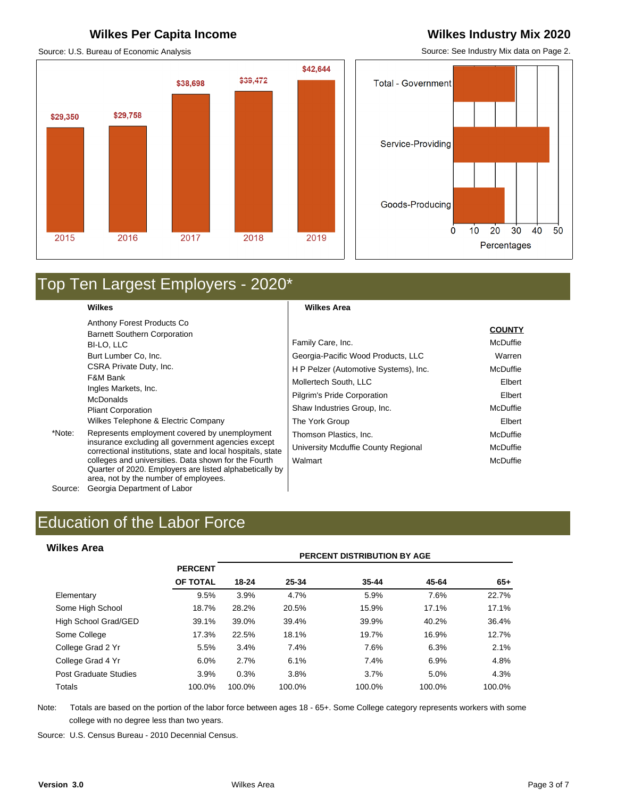## **Wilkes Per Capita Income Wilkes Industry Mix 2020**

Source: U.S. Bureau of Economic Analysis

## \$42,644 \$39,472 \$38,698 \$29,758 \$29,350 2015 2016 2018 2019 2017

Source: See Industry Mix data on Page 2.

**COUNTY**



# Top Ten Largest Employers - 2020\*

**Wilkes** 

Anthony Forest Products Co Barnett Southern Corporation BI-LO, LLC Burt Lumber Co, Inc. CSRA Private Duty, Inc. F&M Bank Ingles Markets, Inc. McDonalds Pliant Corporation Wilkes Telephone & Electric Company

\*Note: Represents employment covered by unemployment insurance excluding all government agencies except correctional institutions, state and local hospitals, state colleges and universities. Data shown for the Fourth Quarter of 2020. Employers are listed alphabetically by area, not by the number of employees.

Source: Georgia Department of Labor

## **Wilkes Area**

|                                       | <b>COUNTY</b> |
|---------------------------------------|---------------|
| Family Care, Inc.                     | McDuffie      |
| Georgia-Pacific Wood Products, LLC    | Warren        |
| H P Pelzer (Automotive Systems), Inc. | McDuffie      |
| Mollertech South, LLC                 | Elbert        |
| Pilgrim's Pride Corporation           | Elbert        |
| Shaw Industries Group, Inc.           | McDuffie      |
| The York Group                        | Elbert        |
| Thomson Plastics, Inc.                | McDuffie      |
| University Mcduffie County Regional   | McDuffie      |
| Walmart                               | McDuffie      |
|                                       |               |

### **Wilkes Area**

| <b>Wilkes Area</b>    |                |        |        | <b>PERCENT DISTRIBUTION BY AGE</b> |        |        |
|-----------------------|----------------|--------|--------|------------------------------------|--------|--------|
|                       | <b>PERCENT</b> |        |        |                                    |        |        |
|                       | OF TOTAL       | 18-24  | 25-34  | 35-44                              | 45-64  | $65+$  |
| Elementary            | 9.5%           | 3.9%   | 4.7%   | 5.9%                               | 7.6%   | 22.7%  |
| Some High School      | 18.7%          | 28.2%  | 20.5%  | 15.9%                              | 17.1%  | 17.1%  |
| High School Grad/GED  | 39.1%          | 39.0%  | 39.4%  | 39.9%                              | 40.2%  | 36.4%  |
| Some College          | 17.3%          | 22.5%  | 18.1%  | 19.7%                              | 16.9%  | 12.7%  |
| College Grad 2 Yr     | 5.5%           | 3.4%   | 7.4%   | 7.6%                               | 6.3%   | 2.1%   |
| College Grad 4 Yr     | 6.0%           | 2.7%   | 6.1%   | 7.4%                               | 6.9%   | 4.8%   |
| Post Graduate Studies | 3.9%           | 0.3%   | 3.8%   | 3.7%                               | 5.0%   | 4.3%   |
| Totals                | 100.0%         | 100.0% | 100.0% | 100.0%                             | 100.0% | 100.0% |

Note: Totals are based on the portion of the labor force between ages 18 - 65+. Some College category represents workers with some college with no degree less than two years.

Source: U.S. Census Bureau - 2010 Decennial Census.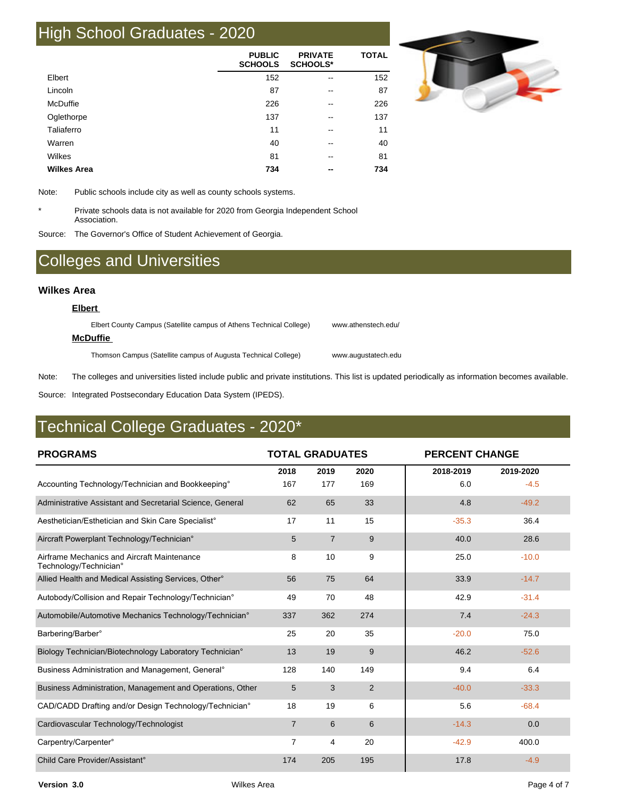## High School Graduates - 2020

|                    | <b>PUBLIC</b><br><b>SCHOOLS</b> | <b>PRIVATE</b><br><b>SCHOOLS*</b> | <b>TOTAL</b> |
|--------------------|---------------------------------|-----------------------------------|--------------|
| Elbert             | 152                             | --                                | 152          |
| Lincoln            | 87                              | $- -$                             | 87           |
| McDuffie           | 226                             | --                                | 226          |
| Oglethorpe         | 137                             | --                                | 137          |
| Taliaferro         | 11                              | --                                | 11           |
| Warren             | 40                              | --                                | 40           |
| Wilkes             | 81                              | --                                | 81           |
| <b>Wilkes Area</b> | 734                             | --                                | 734          |



Note: Public schools include city as well as county schools systems.

\* Private schools data is not available for 2020 from Georgia Independent School Association.

Source: The Governor's Office of Student Achievement of Georgia.

## Colleges and Universities

### **Wilkes Area**

**Elbert** 

Elbert County Campus (Satellite campus of Athens Technical College) www.athenstech.edu/ **McDuffie**  Thomson Campus (Satellite campus of Augusta Technical College) www.augustatech.edu

Note: The colleges and universities listed include public and private institutions. This list is updated periodically as information becomes available.

Source: Integrated Postsecondary Education Data System (IPEDS).

## Technical College Graduates - 2020\*

| <b>PROGRAMS</b>                                                       | <b>TOTAL GRADUATES</b> |                |      |           | <b>PERCENT CHANGE</b> |  |  |
|-----------------------------------------------------------------------|------------------------|----------------|------|-----------|-----------------------|--|--|
|                                                                       | 2018                   | 2019           | 2020 | 2018-2019 | 2019-2020             |  |  |
| Accounting Technology/Technician and Bookkeeping <sup>o</sup>         | 167                    | 177            | 169  | 6.0       | $-4.5$                |  |  |
| Administrative Assistant and Secretarial Science, General             | 62                     | 65             | 33   | 4.8       | $-49.2$               |  |  |
| Aesthetician/Esthetician and Skin Care Specialist°                    | 17                     | 11             | 15   | $-35.3$   | 36.4                  |  |  |
| Aircraft Powerplant Technology/Technician°                            | 5                      | $\overline{7}$ | 9    | 40.0      | 28.6                  |  |  |
| Airframe Mechanics and Aircraft Maintenance<br>Technology/Technician° | 8                      | 10             | 9    | 25.0      | $-10.0$               |  |  |
| Allied Health and Medical Assisting Services, Other <sup>®</sup>      | 56                     | 75             | 64   | 33.9      | $-14.7$               |  |  |
| Autobody/Collision and Repair Technology/Technician°                  | 49                     | 70             | 48   | 42.9      | $-31.4$               |  |  |
| Automobile/Automotive Mechanics Technology/Technician°                | 337                    | 362            | 274  | 7.4       | $-24.3$               |  |  |
| Barbering/Barber°                                                     | 25                     | 20             | 35   | $-20.0$   | 75.0                  |  |  |
| Biology Technician/Biotechnology Laboratory Technician°               | 13                     | 19             | 9    | 46.2      | $-52.6$               |  |  |
| Business Administration and Management, General <sup>®</sup>          | 128                    | 140            | 149  | 9.4       | 6.4                   |  |  |
| Business Administration, Management and Operations, Other             | 5                      | 3              | 2    | $-40.0$   | $-33.3$               |  |  |
| CAD/CADD Drafting and/or Design Technology/Technician°                | 18                     | 19             | 6    | 5.6       | $-68.4$               |  |  |
| Cardiovascular Technology/Technologist                                | $\overline{7}$         | 6              | 6    | $-14.3$   | 0.0                   |  |  |
| Carpentry/Carpenter°                                                  | $\overline{7}$         | 4              | 20   | $-42.9$   | 400.0                 |  |  |
| Child Care Provider/Assistant°                                        | 174                    | 205            | 195  | 17.8      | $-4.9$                |  |  |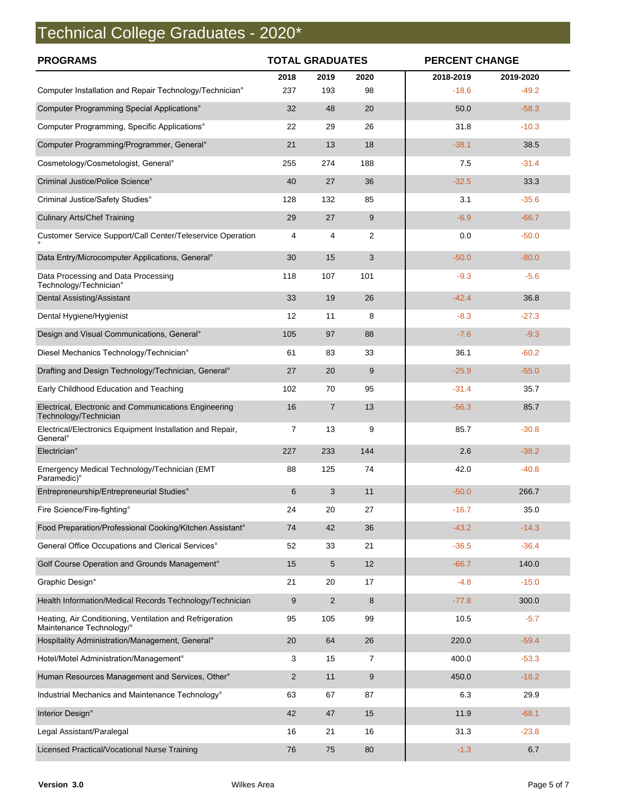# Technical College Graduates - 2020\*

| <b>PROGRAMS</b>                                                                      | <b>TOTAL GRADUATES</b> |                |                | <b>PERCENT CHANGE</b> |           |  |
|--------------------------------------------------------------------------------------|------------------------|----------------|----------------|-----------------------|-----------|--|
|                                                                                      | 2018                   | 2019           | 2020           | 2018-2019             | 2019-2020 |  |
| Computer Installation and Repair Technology/Technician°                              | 237                    | 193            | 98             | $-18.6$               | $-49.2$   |  |
| Computer Programming Special Applications°                                           | 32                     | 48             | 20             | 50.0                  | $-58.3$   |  |
| Computer Programming, Specific Applications°                                         | 22                     | 29             | 26             | 31.8                  | $-10.3$   |  |
| Computer Programming/Programmer, General°                                            | 21                     | 13             | 18             | $-38.1$               | 38.5      |  |
| Cosmetology/Cosmetologist, General°                                                  | 255                    | 274            | 188            | 7.5                   | $-31.4$   |  |
| Criminal Justice/Police Science°                                                     | 40                     | 27             | 36             | $-32.5$               | 33.3      |  |
| Criminal Justice/Safety Studies°                                                     | 128                    | 132            | 85             | 3.1                   | $-35.6$   |  |
| <b>Culinary Arts/Chef Training</b>                                                   | 29                     | 27             | 9              | $-6.9$                | $-66.7$   |  |
| Customer Service Support/Call Center/Teleservice Operation                           | 4                      | 4              | $\overline{2}$ | 0.0                   | $-50.0$   |  |
| Data Entry/Microcomputer Applications, General <sup>o</sup>                          | 30                     | 15             | 3              | $-50.0$               | $-80.0$   |  |
| Data Processing and Data Processing<br>Technology/Technician°                        | 118                    | 107            | 101            | $-9.3$                | $-5.6$    |  |
| Dental Assisting/Assistant                                                           | 33                     | 19             | 26             | $-42.4$               | 36.8      |  |
| Dental Hygiene/Hygienist                                                             | 12                     | 11             | 8              | $-8.3$                | $-27.3$   |  |
| Design and Visual Communications, General <sup>®</sup>                               | 105                    | 97             | 88             | $-7.6$                | $-9.3$    |  |
| Diesel Mechanics Technology/Technician°                                              | 61                     | 83             | 33             | 36.1                  | $-60.2$   |  |
| Drafting and Design Technology/Technician, General°                                  | 27                     | 20             | 9              | $-25.9$               | $-55.0$   |  |
| Early Childhood Education and Teaching                                               | 102                    | 70             | 95             | $-31.4$               | 35.7      |  |
| Electrical, Electronic and Communications Engineering<br>Technology/Technician       | 16                     | $\overline{7}$ | 13             | $-56.3$               | 85.7      |  |
| Electrical/Electronics Equipment Installation and Repair,<br>General <sup>®</sup>    | 7                      | 13             | 9              | 85.7                  | $-30.8$   |  |
| Electrician°                                                                         | 227                    | 233            | 144            | 2.6                   | $-38.2$   |  |
| Emergency Medical Technology/Technician (EMT<br>Paramedic)°                          | 88                     | 125            | 74             | 42.0                  | $-40.8$   |  |
| Entrepreneurship/Entrepreneurial Studies°                                            | 6                      | 3              | 11             | $-50.0$               | 266.7     |  |
| Fire Science/Fire-fighting°                                                          | 24                     | 20             | 27             | $-16.7$               | 35.0      |  |
| Food Preparation/Professional Cooking/Kitchen Assistant°                             | 74                     | 42             | 36             | $-43.2$               | $-14.3$   |  |
| General Office Occupations and Clerical Services°                                    | 52                     | 33             | 21             | $-36.5$               | $-36.4$   |  |
| Golf Course Operation and Grounds Management°                                        | 15                     | 5              | 12             | $-66.7$               | 140.0     |  |
| Graphic Design°                                                                      | 21                     | 20             | 17             | $-4.8$                | $-15.0$   |  |
| Health Information/Medical Records Technology/Technician                             | 9                      | 2              | 8              | $-77.8$               | 300.0     |  |
| Heating, Air Conditioning, Ventilation and Refrigeration<br>Maintenance Technology/° | 95                     | 105            | 99             | 10.5                  | $-5.7$    |  |
| Hospitality Administration/Management, General®                                      | 20                     | 64             | 26             | 220.0                 | $-59.4$   |  |
| Hotel/Motel Administration/Management°                                               | 3                      | 15             | 7              | 400.0                 | $-53.3$   |  |
| Human Resources Management and Services, Other°                                      | $\overline{2}$         | 11             | 9              | 450.0                 | $-18.2$   |  |
| Industrial Mechanics and Maintenance Technology°                                     | 63                     | 67             | 87             | 6.3                   | 29.9      |  |
| Interior Design°                                                                     | 42                     | 47             | 15             | 11.9                  | $-68.1$   |  |
| Legal Assistant/Paralegal                                                            | 16                     | 21             | 16             | 31.3                  | $-23.8$   |  |
| Licensed Practical/Vocational Nurse Training                                         | 76                     | 75             | 80             | $-1.3$                | 6.7       |  |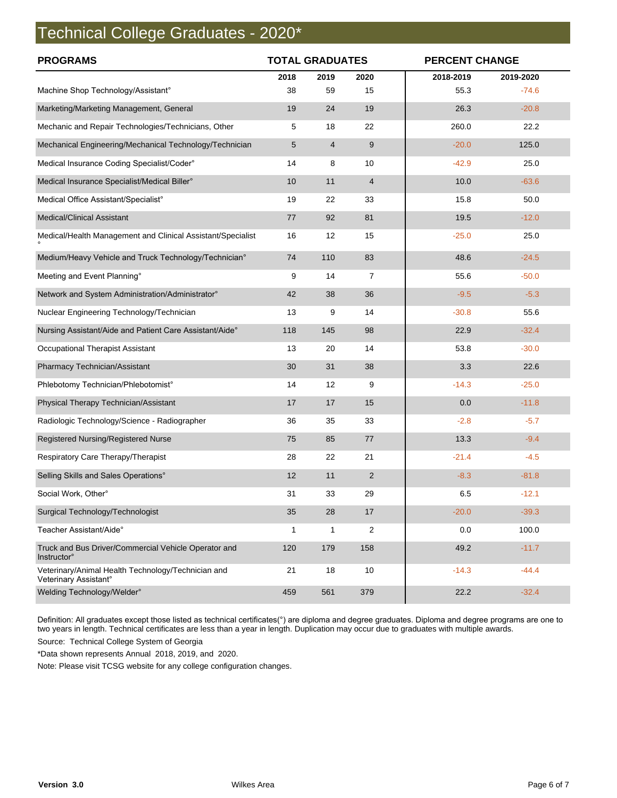## Technical College Graduates - 2020\*

| <b>PROGRAMS</b>                                                             | <b>TOTAL GRADUATES</b> |                |                |           | <b>PERCENT CHANGE</b> |  |  |
|-----------------------------------------------------------------------------|------------------------|----------------|----------------|-----------|-----------------------|--|--|
|                                                                             | 2018                   | 2019           | 2020           | 2018-2019 | 2019-2020             |  |  |
| Machine Shop Technology/Assistant°                                          | 38                     | 59             | 15             | 55.3      | $-74.6$               |  |  |
| Marketing/Marketing Management, General                                     | 19                     | 24             | 19             | 26.3      | $-20.8$               |  |  |
| Mechanic and Repair Technologies/Technicians, Other                         | 5                      | 18             | 22             | 260.0     | 22.2                  |  |  |
| Mechanical Engineering/Mechanical Technology/Technician                     | 5                      | $\overline{4}$ | 9              | $-20.0$   | 125.0                 |  |  |
| Medical Insurance Coding Specialist/Coder°                                  | 14                     | 8              | 10             | $-42.9$   | 25.0                  |  |  |
| Medical Insurance Specialist/Medical Biller°                                | 10                     | 11             | $\overline{4}$ | 10.0      | $-63.6$               |  |  |
| Medical Office Assistant/Specialist°                                        | 19                     | 22             | 33             | 15.8      | 50.0                  |  |  |
| <b>Medical/Clinical Assistant</b>                                           | 77                     | 92             | 81             | 19.5      | $-12.0$               |  |  |
| Medical/Health Management and Clinical Assistant/Specialist                 | 16                     | 12             | 15             | $-25.0$   | 25.0                  |  |  |
| Medium/Heavy Vehicle and Truck Technology/Technician°                       | 74                     | 110            | 83             | 48.6      | $-24.5$               |  |  |
| Meeting and Event Planning°                                                 | 9                      | 14             | $\overline{7}$ | 55.6      | $-50.0$               |  |  |
| Network and System Administration/Administrator°                            | 42                     | 38             | 36             | $-9.5$    | $-5.3$                |  |  |
| Nuclear Engineering Technology/Technician                                   | 13                     | 9              | 14             | $-30.8$   | 55.6                  |  |  |
| Nursing Assistant/Aide and Patient Care Assistant/Aide°                     | 118                    | 145            | 98             | 22.9      | $-32.4$               |  |  |
| Occupational Therapist Assistant                                            | 13                     | 20             | 14             | 53.8      | $-30.0$               |  |  |
| Pharmacy Technician/Assistant                                               | 30                     | 31             | 38             | 3.3       | 22.6                  |  |  |
| Phlebotomy Technician/Phlebotomist°                                         | 14                     | 12             | 9              | $-14.3$   | $-25.0$               |  |  |
| Physical Therapy Technician/Assistant                                       | 17                     | 17             | 15             | 0.0       | $-11.8$               |  |  |
| Radiologic Technology/Science - Radiographer                                | 36                     | 35             | 33             | $-2.8$    | $-5.7$                |  |  |
| Registered Nursing/Registered Nurse                                         | 75                     | 85             | 77             | 13.3      | $-9.4$                |  |  |
| Respiratory Care Therapy/Therapist                                          | 28                     | 22             | 21             | $-21.4$   | $-4.5$                |  |  |
| Selling Skills and Sales Operations°                                        | 12                     | 11             | $\overline{2}$ | $-8.3$    | $-81.8$               |  |  |
| Social Work, Other°                                                         | 31                     | 33             | 29             | 6.5       | $-12.1$               |  |  |
| Surgical Technology/Technologist                                            | 35                     | 28             | 17             | $-20.0$   | $-39.3$               |  |  |
| Teacher Assistant/Aide°                                                     | 1                      | 1              | $\overline{2}$ | 0.0       | 100.0                 |  |  |
| Truck and Bus Driver/Commercial Vehicle Operator and<br><b>Instructor</b> ° | 120                    | 179            | 158            | 49.2      | $-11.7$               |  |  |
| Veterinary/Animal Health Technology/Technician and<br>Veterinary Assistant° | 21                     | 18             | 10             | $-14.3$   | $-44.4$               |  |  |
| Welding Technology/Welder°                                                  | 459                    | 561            | 379            | 22.2      | $-32.4$               |  |  |

Definition: All graduates except those listed as technical certificates(°) are diploma and degree graduates. Diploma and degree programs are one to two years in length. Technical certificates are less than a year in length. Duplication may occur due to graduates with multiple awards.

Source: Technical College System of Georgia

\*Data shown represents Annual 2018, 2019, and 2020.

Note: Please visit TCSG website for any college configuration changes.